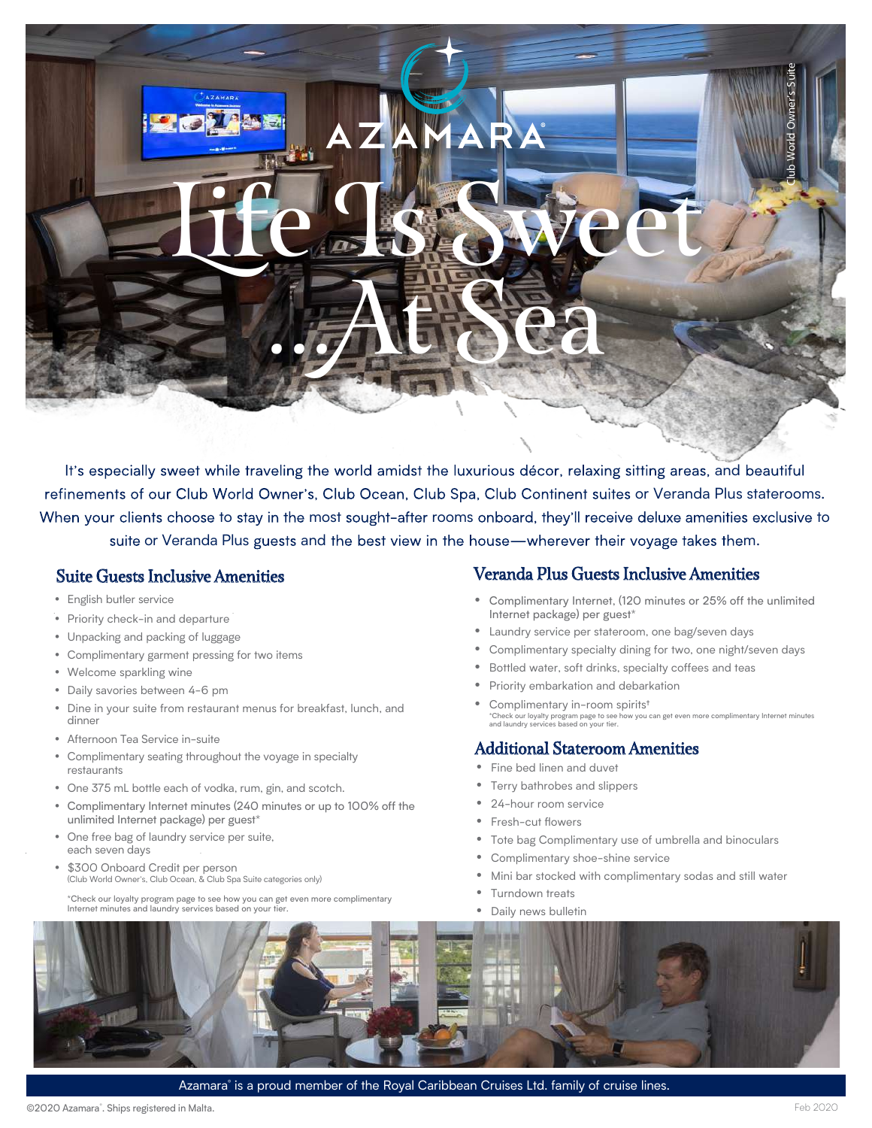# Life Is Sweet ...At Sea

It's especially sweet while traveling the world amidst the luxurious décor, relaxing sitting areas, and beautiful refinements of our Club World Owner's, Club Ocean, Club Spa, Club Continent suites or Veranda Plus staterooms. When your clients choose to stay in the most sought-after rooms onboard, they'll receive deluxe amenities exclusive to suite or Veranda Plus guests and the best view in the house—wherever their voyage takes them.

## Suite Guests Inclusive Amenities

- English butler service
- Priority check-in and departure
- Unpacking and packing of luggage
- Complimentary garment pressing for two items
- Welcome sparkling wine
- Daily savories between 4-6 pm
- Dine in your suite from restaurant menus for breakfast, lunch, and dinner
- Afternoon Tea Service in-suite
- Complimentary seating throughout the voyage in specialty restaurants
- One 375 mL bottle each of vodka, rum, gin, and scotch.
- Complimentary Internet minutes (240 minutes or up to 100% off the unlimited Internet package) per guest\*
- One free bag of laundry service per suite, each seven days
- \$300 Onboard Credit per person (Club World Owner's, Club Ocean, & Club Spa Suite categories only)

\*Check our loyalty program page to see how you can get even more complimentary Internet minutes and laundry services based on your tier.

## Veranda Plus Guests Inclusive Amenities

- Complimentary Internet, (120 minutes or 25% off the unlimited Internet package) per guest\*
- Laundry service per stateroom, one bag/seven days
- Complimentary specialty dining for two, one night/seven days
- Bottled water, soft drinks, specialty coffees and teas
- Priority embarkation and debarkation
- Complimentary in-room spirits<sup>t</sup> you can get even more complimentary Internet minutes \*Check our loyalty program page to see ho<br>and laundry services based on your tier.

## Additional Stateroom Amenities

- Fine bed linen and duvet
- Terry bathrobes and slippers
- 24-hour room service
- Fresh-cut flowers
- Tote bag Complimentary use of umbrella and binoculars
- Complimentary shoe-shine service
- Mini bar stocked with complimentary sodas and still water
- Turndown treats
- Daily news bulletin



Azamara® is a proud member of the Royal Caribbean Cruises Ltd. family of cruise lines.

Club World Owner's Suite